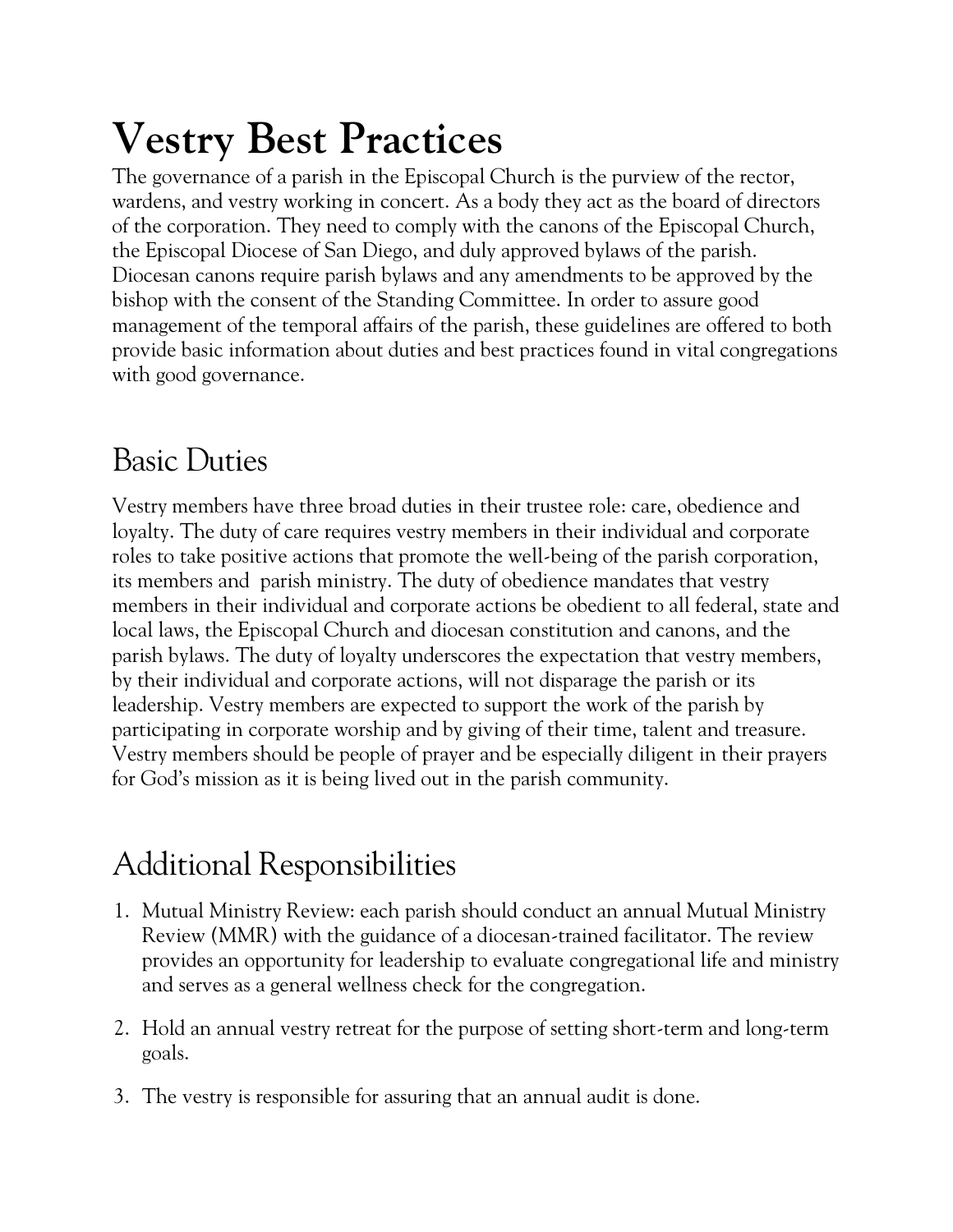## **Vestry Best Practices**

The governance of a parish in the Episcopal Church is the purview of the rector, wardens, and vestry working in concert. As a body they act as the board of directors of the corporation. They need to comply with the canons of the Episcopal Church, the Episcopal Diocese of San Diego, and duly approved bylaws of the parish. Diocesan canons require parish bylaws and any amendments to be approved by the bishop with the consent of the Standing Committee. In order to assure good management of the temporal affairs of the parish, these guidelines are offered to both provide basic information about duties and best practices found in vital congregations with good governance.

## Basic Duties

Vestry members have three broad duties in their trustee role: care, obedience and loyalty. The duty of care requires vestry members in their individual and corporate roles to take positive actions that promote the well-being of the parish corporation, its members and parish ministry. The duty of obedience mandates that vestry members in their individual and corporate actions be obedient to all federal, state and local laws, the Episcopal Church and diocesan constitution and canons, and the parish bylaws. The duty of loyalty underscores the expectation that vestry members, by their individual and corporate actions, will not disparage the parish or its leadership. Vestry members are expected to support the work of the parish by participating in corporate worship and by giving of their time, talent and treasure. Vestry members should be people of prayer and be especially diligent in their prayers for God's mission as it is being lived out in the parish community.

## Additional Responsibilities

- 1. Mutual Ministry Review: each parish should conduct an annual Mutual Ministry Review (MMR) with the guidance of a diocesan-trained facilitator. The review provides an opportunity for leadership to evaluate congregational life and ministry and serves as a general wellness check for the congregation.
- 2. Hold an annual vestry retreat for the purpose of setting short-term and long-term goals.
- 3. The vestry is responsible for assuring that an annual audit is done.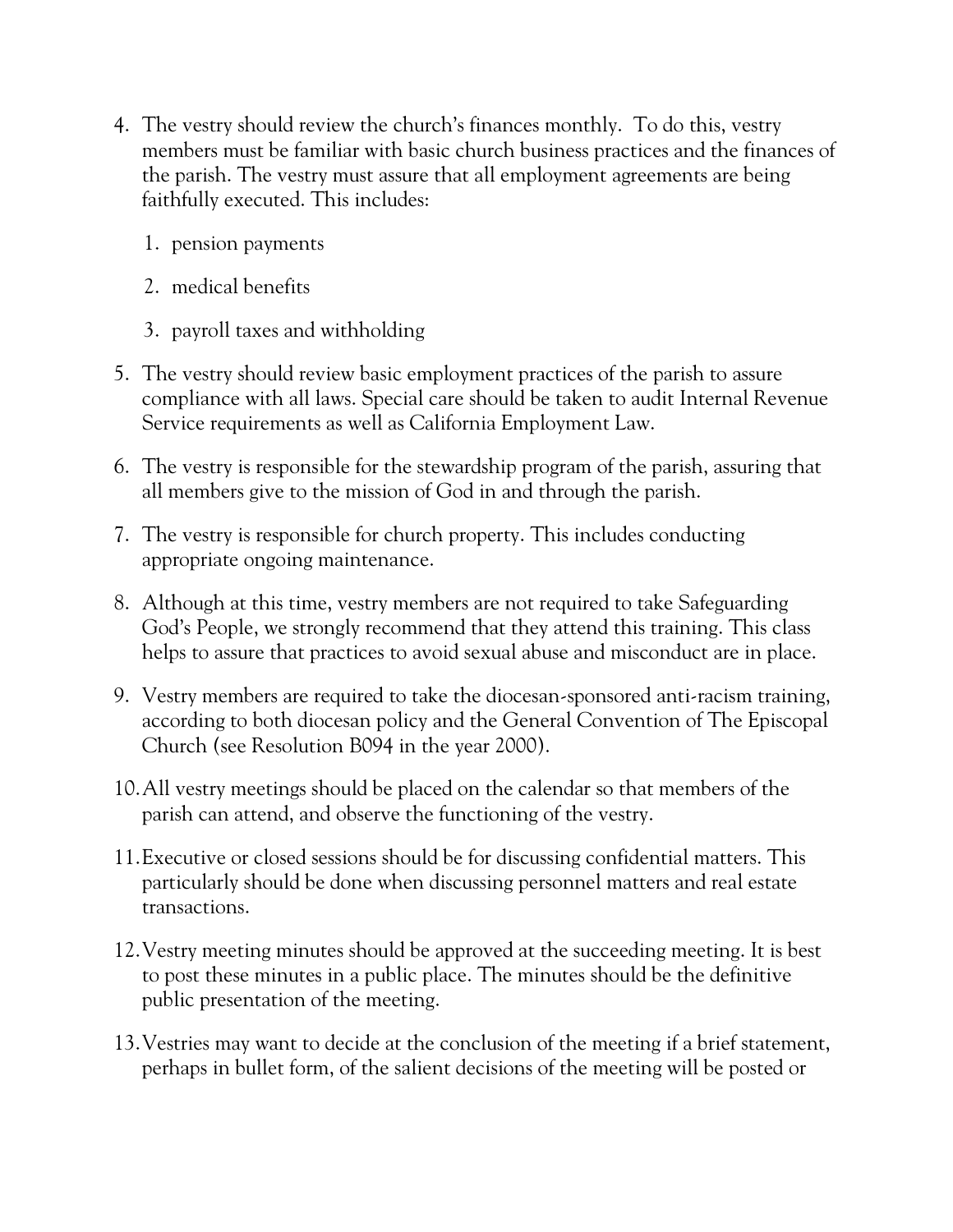- 4. The vestry should review the church's finances monthly. To do this, vestry members must be familiar with basic church business practices and the finances of the parish. The vestry must assure that all employment agreements are being faithfully executed. This includes:
	- 1. pension payments
	- 2. medical benefits
	- 3. payroll taxes and withholding
- 5. The vestry should review basic employment practices of the parish to assure compliance with all laws. Special care should be taken to audit Internal Revenue Service requirements as well as California Employment Law.
- 6. The vestry is responsible for the stewardship program of the parish, assuring that all members give to the mission of God in and through the parish.
- 7. The vestry is responsible for church property. This includes conducting appropriate ongoing maintenance.
- 8. Although at this time, vestry members are not required to take Safeguarding God's People, we strongly recommend that they attend this training. This class helps to assure that practices to avoid sexual abuse and misconduct are in place.
- 9. Vestry members are required to take the diocesan-sponsored anti-racism training, according to both diocesan policy and the General Convention of The Episcopal Church (see Resolution B094 in the year 2000).
- 10.All vestry meetings should be placed on the calendar so that members of the parish can attend, and observe the functioning of the vestry.
- 11.Executive or closed sessions should be for discussing confidential matters. This particularly should be done when discussing personnel matters and real estate transactions.
- 12.Vestry meeting minutes should be approved at the succeeding meeting. It is best to post these minutes in a public place. The minutes should be the definitive public presentation of the meeting.
- 13.Vestries may want to decide at the conclusion of the meeting if a brief statement, perhaps in bullet form, of the salient decisions of the meeting will be posted or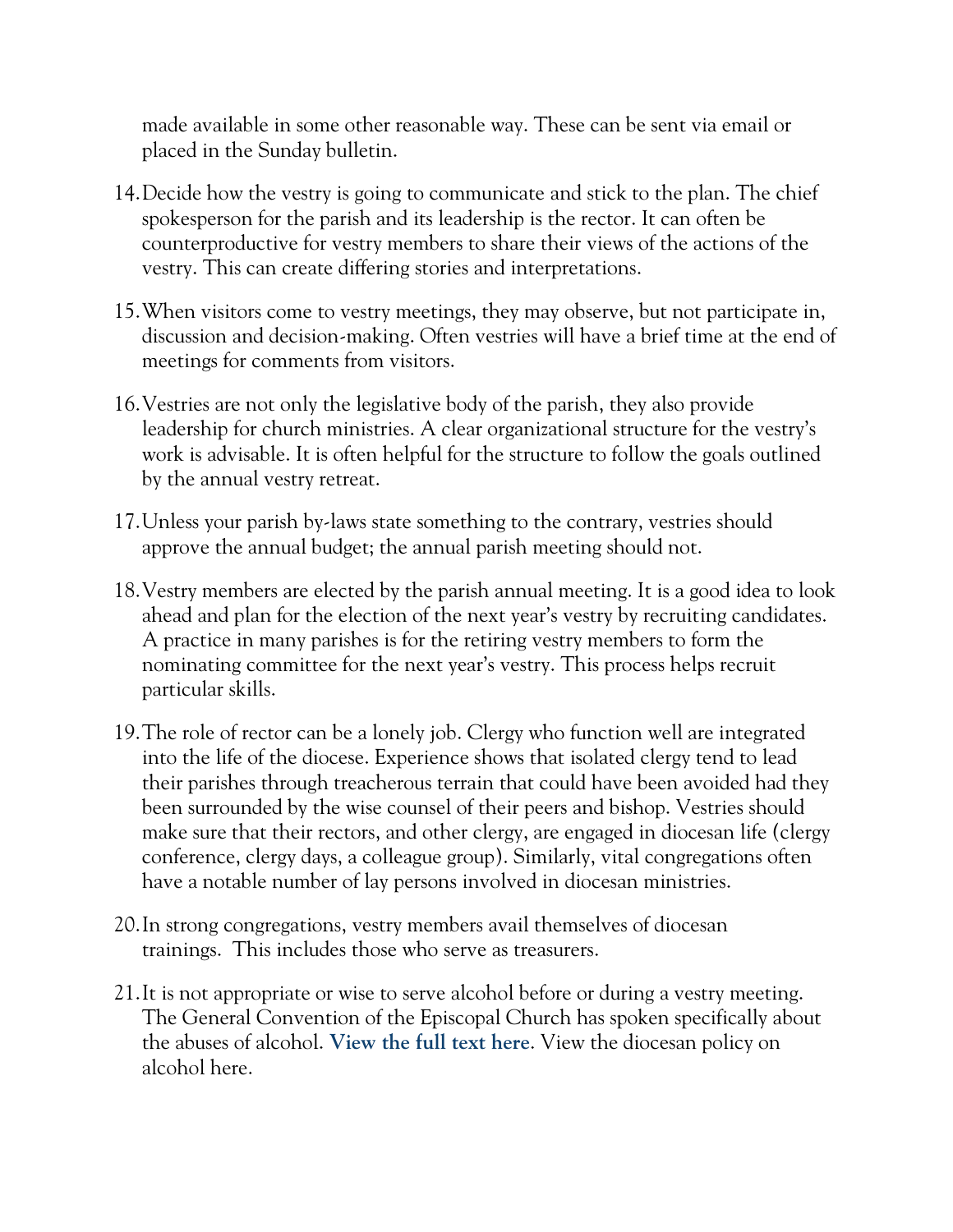made available in some other reasonable way. These can be sent via email or placed in the Sunday bulletin.

- 14.Decide how the vestry is going to communicate and stick to the plan. The chief spokesperson for the parish and its leadership is the rector. It can often be counterproductive for vestry members to share their views of the actions of the vestry. This can create differing stories and interpretations.
- 15.When visitors come to vestry meetings, they may observe, but not participate in, discussion and decision-making. Often vestries will have a brief time at the end of meetings for comments from visitors.
- 16.Vestries are not only the legislative body of the parish, they also provide leadership for church ministries. A clear organizational structure for the vestry's work is advisable. It is often helpful for the structure to follow the goals outlined by the annual vestry retreat.
- 17.Unless your parish by-laws state something to the contrary, vestries should approve the annual budget; the annual parish meeting should not.
- 18.Vestry members are elected by the parish annual meeting. It is a good idea to look ahead and plan for the election of the next year's vestry by recruiting candidates. A practice in many parishes is for the retiring vestry members to form the nominating committee for the next year's vestry. This process helps recruit particular skills.
- 19.The role of rector can be a lonely job. Clergy who function well are integrated into the life of the diocese. Experience shows that isolated clergy tend to lead their parishes through treacherous terrain that could have been avoided had they been surrounded by the wise counsel of their peers and bishop. Vestries should make sure that their rectors, and other clergy, are engaged in diocesan life (clergy conference, clergy days, a colleague group). Similarly, vital congregations often have a notable number of lay persons involved in diocesan ministries.
- 20.In strong congregations, vestry members avail themselves of diocesan trainings. This includes those who serve as treasurers.
- 21.It is not appropriate or wise to serve alcohol before or during a vestry meeting. The General Convention of the Episcopal Church has spoken specifically about the abuses of alcohol. **[View the full text here](http://www.episcopalarchives.org/cgi-bin/acts/acts_resolution.pl?resolution=1985-a083)**. View the diocesan policy on alcohol here.